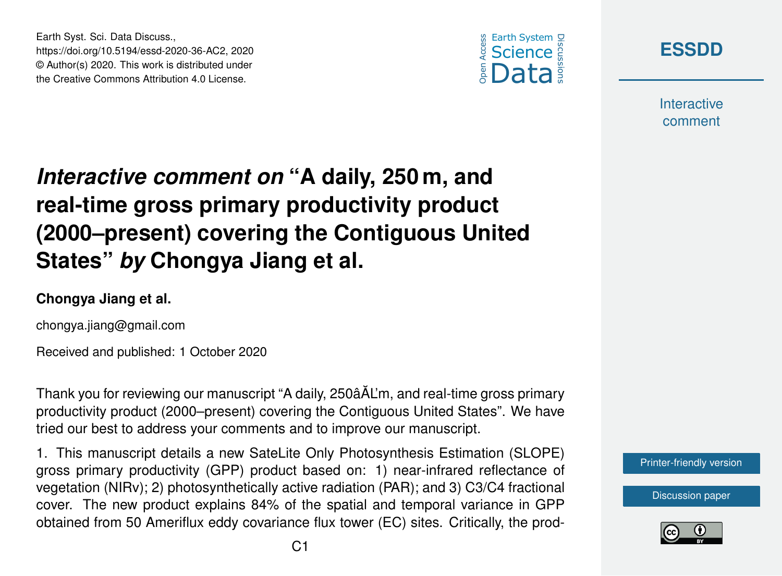Earth Syst. Sci. Data Discuss., https://doi.org/10.5194/essd-2020-36-AC2, 2020 © Author(s) 2020. This work is distributed under the Creative Commons Attribution 4.0 License.





**Interactive** comment

# *Interactive comment on* **"A daily, 250 m, and real-time gross primary productivity product (2000–present) covering the Contiguous United States"** *by* **Chongya Jiang et al.**

#### **Chongya Jiang et al.**

chongya.jiang@gmail.com

Received and published: 1 October 2020

Thank you for reviewing our manuscript "A daily, 250âAL'm, and real-time gross primary ˘ productivity product (2000–present) covering the Contiguous United States". We have tried our best to address your comments and to improve our manuscript.

1. This manuscript details a new SateLite Only Photosynthesis Estimation (SLOPE) gross primary productivity (GPP) product based on: 1) near-infrared reflectance of vegetation (NIRv); 2) photosynthetically active radiation (PAR); and 3) C3/C4 fractional cover. The new product explains 84% of the spatial and temporal variance in GPP obtained from 50 Ameriflux eddy covariance flux tower (EC) sites. Critically, the prod-



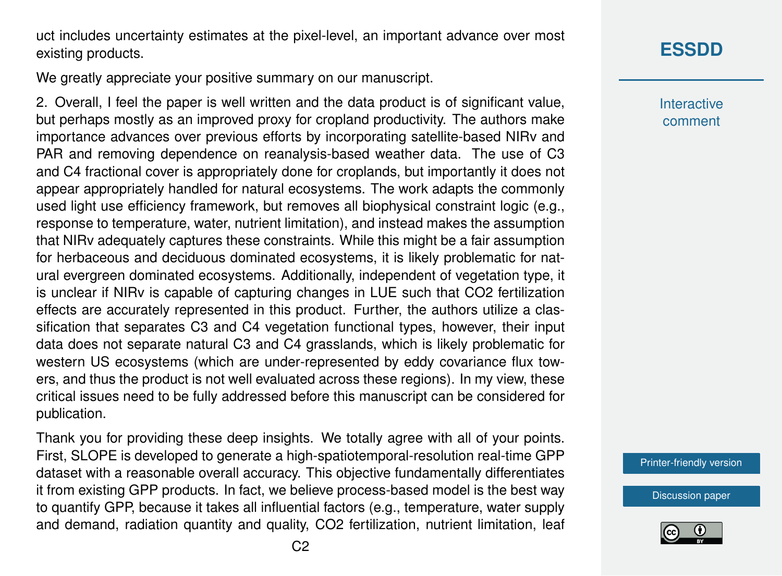uct includes uncertainty estimates at the pixel-level, an important advance over most existing products.

We greatly appreciate your positive summary on our manuscript.

2. Overall, I feel the paper is well written and the data product is of significant value, but perhaps mostly as an improved proxy for cropland productivity. The authors make importance advances over previous efforts by incorporating satellite-based NIRv and PAR and removing dependence on reanalysis-based weather data. The use of C3 and C4 fractional cover is appropriately done for croplands, but importantly it does not appear appropriately handled for natural ecosystems. The work adapts the commonly used light use efficiency framework, but removes all biophysical constraint logic (e.g., response to temperature, water, nutrient limitation), and instead makes the assumption that NIRv adequately captures these constraints. While this might be a fair assumption for herbaceous and deciduous dominated ecosystems, it is likely problematic for natural evergreen dominated ecosystems. Additionally, independent of vegetation type, it is unclear if NIRv is capable of capturing changes in LUE such that CO2 fertilization effects are accurately represented in this product. Further, the authors utilize a classification that separates C3 and C4 vegetation functional types, however, their input data does not separate natural C3 and C4 grasslands, which is likely problematic for western US ecosystems (which are under-represented by eddy covariance flux towers, and thus the product is not well evaluated across these regions). In my view, these critical issues need to be fully addressed before this manuscript can be considered for publication.

Thank you for providing these deep insights. We totally agree with all of your points. First, SLOPE is developed to generate a high-spatiotemporal-resolution real-time GPP dataset with a reasonable overall accuracy. This objective fundamentally differentiates it from existing GPP products. In fact, we believe process-based model is the best way to quantify GPP, because it takes all influential factors (e.g., temperature, water supply and demand, radiation quantity and quality, CO2 fertilization, nutrient limitation, leaf

### **[ESSDD](https://essd.copernicus.org/preprints/)**

**Interactive** comment

[Printer-friendly version](https://essd.copernicus.org/preprints/essd-2020-36/essd-2020-36-AC2-print.pdf)

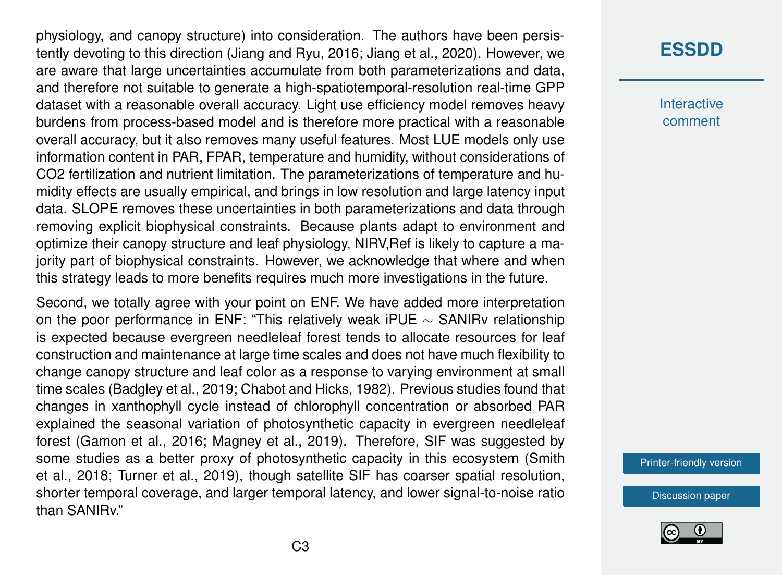physiology, and canopy structure) into consideration. The authors have been persistently devoting to this direction (Jiang and Ryu, 2016; Jiang et al., 2020). However, we are aware that large uncertainties accumulate from both parameterizations and data, and therefore not suitable to generate a high-spatiotemporal-resolution real-time GPP dataset with a reasonable overall accuracy. Light use efficiency model removes heavy burdens from process-based model and is therefore more practical with a reasonable overall accuracy, but it also removes many useful features. Most LUE models only use information content in PAR, FPAR, temperature and humidity, without considerations of CO2 fertilization and nutrient limitation. The parameterizations of temperature and humidity effects are usually empirical, and brings in low resolution and large latency input data. SLOPE removes these uncertainties in both parameterizations and data through removing explicit biophysical constraints. Because plants adapt to environment and optimize their canopy structure and leaf physiology, NIRV,Ref is likely to capture a majority part of biophysical constraints. However, we acknowledge that where and when this strategy leads to more benefits requires much more investigations in the future.

Second, we totally agree with your point on ENF. We have added more interpretation on the poor performance in ENF: "This relatively weak iPUE ∼ SANIRv relationship is expected because evergreen needleleaf forest tends to allocate resources for leaf construction and maintenance at large time scales and does not have much flexibility to change canopy structure and leaf color as a response to varying environment at small time scales (Badgley et al., 2019; Chabot and Hicks, 1982). Previous studies found that changes in xanthophyll cycle instead of chlorophyll concentration or absorbed PAR explained the seasonal variation of photosynthetic capacity in evergreen needleleaf forest (Gamon et al., 2016; Magney et al., 2019). Therefore, SIF was suggested by some studies as a better proxy of photosynthetic capacity in this ecosystem (Smith et al., 2018; Turner et al., 2019), though satellite SIF has coarser spatial resolution, shorter temporal coverage, and larger temporal latency, and lower signal-to-noise ratio than SANIRv."

### **[ESSDD](https://essd.copernicus.org/preprints/)**

**Interactive** comment

[Printer-friendly version](https://essd.copernicus.org/preprints/essd-2020-36/essd-2020-36-AC2-print.pdf)

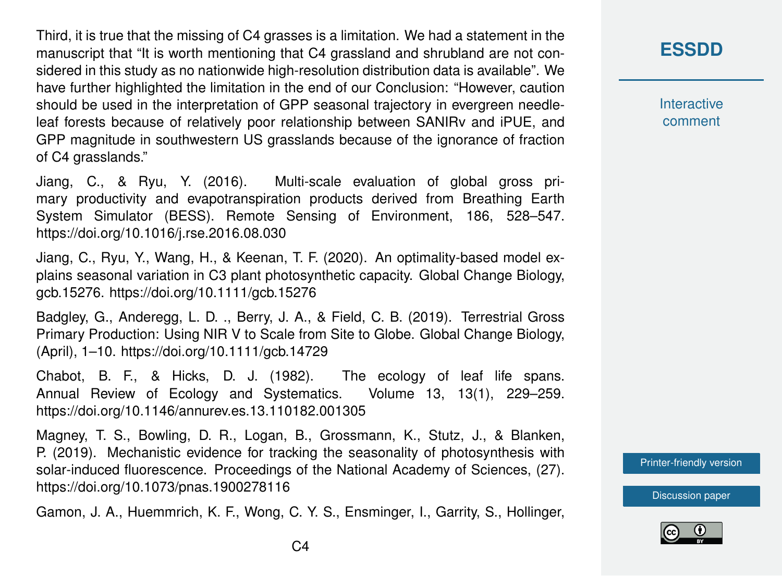Third, it is true that the missing of C4 grasses is a limitation. We had a statement in the manuscript that "It is worth mentioning that C4 grassland and shrubland are not considered in this study as no nationwide high-resolution distribution data is available". We have further highlighted the limitation in the end of our Conclusion: "However, caution should be used in the interpretation of GPP seasonal trajectory in evergreen needleleaf forests because of relatively poor relationship between SANIRv and iPUE, and GPP magnitude in southwestern US grasslands because of the ignorance of fraction of C4 grasslands."

Jiang, C., & Ryu, Y. (2016). Multi-scale evaluation of global gross primary productivity and evapotranspiration products derived from Breathing Earth System Simulator (BESS). Remote Sensing of Environment, 186, 528–547. https://doi.org/10.1016/j.rse.2016.08.030

Jiang, C., Ryu, Y., Wang, H., & Keenan, T. F. (2020). An optimality-based model explains seasonal variation in C3 plant photosynthetic capacity. Global Change Biology, gcb.15276. https://doi.org/10.1111/gcb.15276

Badgley, G., Anderegg, L. D. ., Berry, J. A., & Field, C. B. (2019). Terrestrial Gross Primary Production: Using NIR V to Scale from Site to Globe. Global Change Biology, (April), 1–10. https://doi.org/10.1111/gcb.14729

Chabot, B. F., & Hicks, D. J. (1982). The ecology of leaf life spans. Annual Review of Ecology and Systematics. Volume 13, 13(1), 229–259. https://doi.org/10.1146/annurev.es.13.110182.001305

Magney, T. S., Bowling, D. R., Logan, B., Grossmann, K., Stutz, J., & Blanken, P. (2019). Mechanistic evidence for tracking the seasonality of photosynthesis with solar-induced fluorescence. Proceedings of the National Academy of Sciences, (27). https://doi.org/10.1073/pnas.1900278116

Gamon, J. A., Huemmrich, K. F., Wong, C. Y. S., Ensminger, I., Garrity, S., Hollinger,

#### **[ESSDD](https://essd.copernicus.org/preprints/)**

**Interactive** comment

[Printer-friendly version](https://essd.copernicus.org/preprints/essd-2020-36/essd-2020-36-AC2-print.pdf)

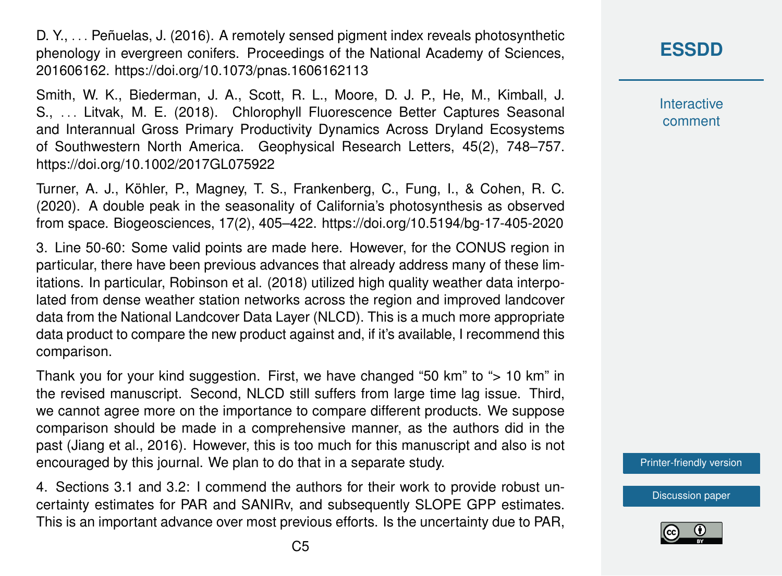D. Y., . . . Peñuelas, J. (2016). A remotely sensed pigment index reveals photosynthetic phenology in evergreen conifers. Proceedings of the National Academy of Sciences, 201606162. https://doi.org/10.1073/pnas.1606162113

Smith, W. K., Biederman, J. A., Scott, R. L., Moore, D. J. P., He, M., Kimball, J. S., . . . Litvak, M. E. (2018). Chlorophyll Fluorescence Better Captures Seasonal and Interannual Gross Primary Productivity Dynamics Across Dryland Ecosystems of Southwestern North America. Geophysical Research Letters, 45(2), 748–757. https://doi.org/10.1002/2017GL075922

Turner, A. J., Köhler, P., Magney, T. S., Frankenberg, C., Fung, I., & Cohen, R. C. (2020). A double peak in the seasonality of California's photosynthesis as observed from space. Biogeosciences, 17(2), 405–422. https://doi.org/10.5194/bg-17-405-2020

3. Line 50-60: Some valid points are made here. However, for the CONUS region in particular, there have been previous advances that already address many of these limitations. In particular, Robinson et al. (2018) utilized high quality weather data interpolated from dense weather station networks across the region and improved landcover data from the National Landcover Data Layer (NLCD). This is a much more appropriate data product to compare the new product against and, if it's available, I recommend this comparison.

Thank you for your kind suggestion. First, we have changed "50 km" to "> 10 km" in the revised manuscript. Second, NLCD still suffers from large time lag issue. Third, we cannot agree more on the importance to compare different products. We suppose comparison should be made in a comprehensive manner, as the authors did in the past (Jiang et al., 2016). However, this is too much for this manuscript and also is not encouraged by this journal. We plan to do that in a separate study.

4. Sections 3.1 and 3.2: I commend the authors for their work to provide robust uncertainty estimates for PAR and SANIRv, and subsequently SLOPE GPP estimates. This is an important advance over most previous efforts. Is the uncertainty due to PAR, **Interactive** comment

[Printer-friendly version](https://essd.copernicus.org/preprints/essd-2020-36/essd-2020-36-AC2-print.pdf)

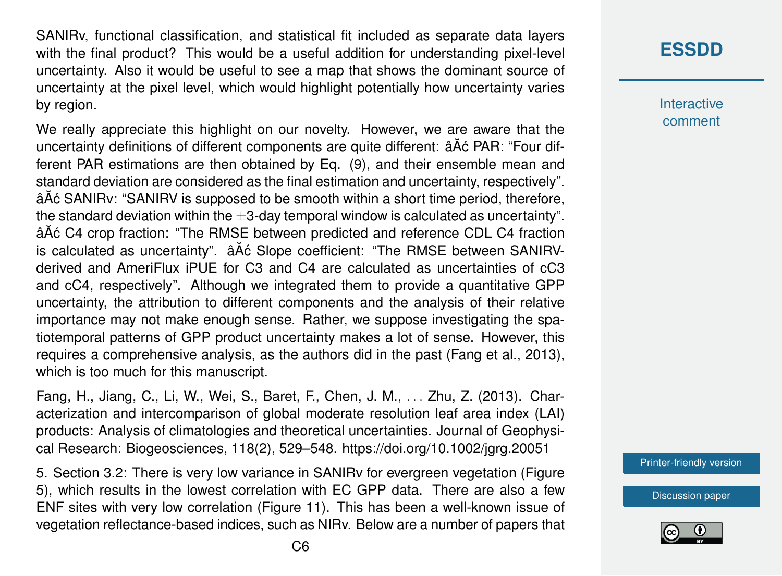SANIRv, functional classification, and statistical fit included as separate data layers with the final product? This would be a useful addition for understanding pixel-level uncertainty. Also it would be useful to see a map that shows the dominant source of uncertainty at the pixel level, which would highlight potentially how uncertainty varies by region.

We really appreciate this highlight on our novelty. However, we are aware that the uncertainty definitions of different components are quite different: â A c PAR: "Four different PAR estimations are then obtained by Eq. (9), and their ensemble mean and standard deviation are considered as the final estimation and uncertainty, respectively". âAć SANIRy: "SANIRV is supposed to be smooth within a short time period, therefore, the standard deviation within the  $\pm 3$ -day temporal window is calculated as uncertainty". â $\tilde{A}$ ć C4 crop fraction: "The RMSE between predicted and reference CDL C4 fraction is calculated as uncertainty".  $\hat{a}$ A $\hat{c}$  Slope coefficient: "The RMSE between SANIRVderived and AmeriFlux iPUE for C3 and C4 are calculated as uncertainties of cC3 and cC4, respectively". Although we integrated them to provide a quantitative GPP uncertainty, the attribution to different components and the analysis of their relative importance may not make enough sense. Rather, we suppose investigating the spatiotemporal patterns of GPP product uncertainty makes a lot of sense. However, this requires a comprehensive analysis, as the authors did in the past (Fang et al., 2013), which is too much for this manuscript.

Fang, H., Jiang, C., Li, W., Wei, S., Baret, F., Chen, J. M., . . . Zhu, Z. (2013). Characterization and intercomparison of global moderate resolution leaf area index (LAI) products: Analysis of climatologies and theoretical uncertainties. Journal of Geophysical Research: Biogeosciences, 118(2), 529–548. https://doi.org/10.1002/jgrg.20051

5. Section 3.2: There is very low variance in SANIRv for evergreen vegetation (Figure 5), which results in the lowest correlation with EC GPP data. There are also a few ENF sites with very low correlation (Figure 11). This has been a well-known issue of vegetation reflectance-based indices, such as NIRv. Below are a number of papers that

### **[ESSDD](https://essd.copernicus.org/preprints/)**

**Interactive** comment

[Printer-friendly version](https://essd.copernicus.org/preprints/essd-2020-36/essd-2020-36-AC2-print.pdf)

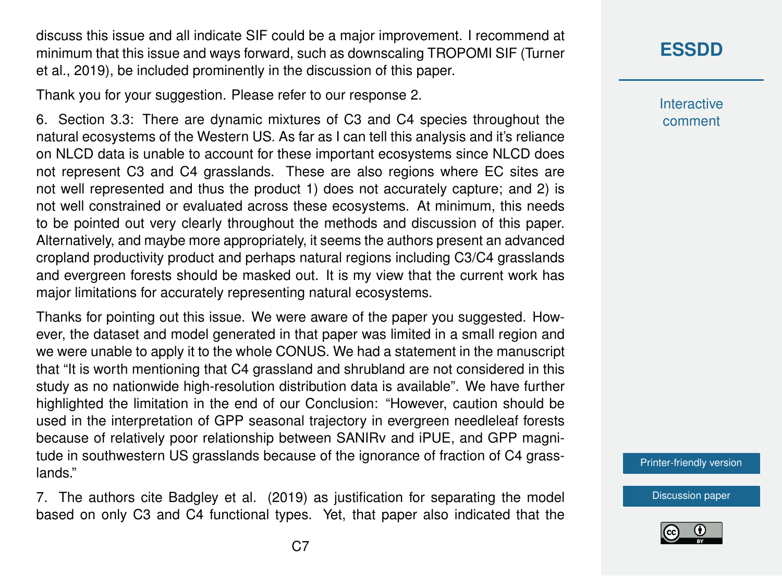discuss this issue and all indicate SIF could be a major improvement. I recommend at minimum that this issue and ways forward, such as downscaling TROPOMI SIF (Turner et al., 2019), be included prominently in the discussion of this paper.

Thank you for your suggestion. Please refer to our response 2.

6. Section 3.3: There are dynamic mixtures of C3 and C4 species throughout the natural ecosystems of the Western US. As far as I can tell this analysis and it's reliance on NLCD data is unable to account for these important ecosystems since NLCD does not represent C3 and C4 grasslands. These are also regions where EC sites are not well represented and thus the product 1) does not accurately capture; and 2) is not well constrained or evaluated across these ecosystems. At minimum, this needs to be pointed out very clearly throughout the methods and discussion of this paper. Alternatively, and maybe more appropriately, it seems the authors present an advanced cropland productivity product and perhaps natural regions including C3/C4 grasslands and evergreen forests should be masked out. It is my view that the current work has major limitations for accurately representing natural ecosystems.

Thanks for pointing out this issue. We were aware of the paper you suggested. However, the dataset and model generated in that paper was limited in a small region and we were unable to apply it to the whole CONUS. We had a statement in the manuscript that "It is worth mentioning that C4 grassland and shrubland are not considered in this study as no nationwide high-resolution distribution data is available". We have further highlighted the limitation in the end of our Conclusion: "However, caution should be used in the interpretation of GPP seasonal trajectory in evergreen needleleaf forests because of relatively poor relationship between SANIRv and iPUE, and GPP magnitude in southwestern US grasslands because of the ignorance of fraction of C4 grasslands."

7. The authors cite Badgley et al. (2019) as justification for separating the model based on only C3 and C4 functional types. Yet, that paper also indicated that the

## **[ESSDD](https://essd.copernicus.org/preprints/)**

**Interactive** comment

[Printer-friendly version](https://essd.copernicus.org/preprints/essd-2020-36/essd-2020-36-AC2-print.pdf)

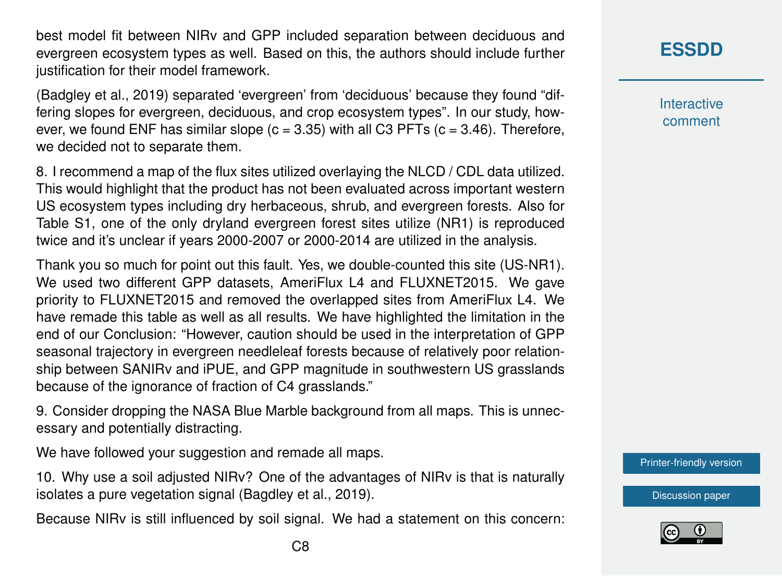best model fit between NIRv and GPP included separation between deciduous and evergreen ecosystem types as well. Based on this, the authors should include further justification for their model framework.

(Badgley et al., 2019) separated 'evergreen' from 'deciduous' because they found "differing slopes for evergreen, deciduous, and crop ecosystem types". In our study, however, we found ENF has similar slope  $(c = 3.35)$  with all C3 PFTs  $(c = 3.46)$ . Therefore, we decided not to separate them.

8. I recommend a map of the flux sites utilized overlaying the NLCD / CDL data utilized. This would highlight that the product has not been evaluated across important western US ecosystem types including dry herbaceous, shrub, and evergreen forests. Also for Table S1, one of the only dryland evergreen forest sites utilize (NR1) is reproduced twice and it's unclear if years 2000-2007 or 2000-2014 are utilized in the analysis.

Thank you so much for point out this fault. Yes, we double-counted this site (US-NR1). We used two different GPP datasets, AmeriFlux L4 and FLUXNET2015. We gave priority to FLUXNET2015 and removed the overlapped sites from AmeriFlux L4. We have remade this table as well as all results. We have highlighted the limitation in the end of our Conclusion: "However, caution should be used in the interpretation of GPP seasonal trajectory in evergreen needleleaf forests because of relatively poor relationship between SANIRv and iPUE, and GPP magnitude in southwestern US grasslands because of the ignorance of fraction of C4 grasslands."

9. Consider dropping the NASA Blue Marble background from all maps. This is unnecessary and potentially distracting.

We have followed your suggestion and remade all maps.

10. Why use a soil adjusted NIRv? One of the advantages of NIRv is that is naturally isolates a pure vegetation signal (Bagdley et al., 2019).

Because NIRv is still influenced by soil signal. We had a statement on this concern:

**[ESSDD](https://essd.copernicus.org/preprints/)**

**Interactive** comment

[Printer-friendly version](https://essd.copernicus.org/preprints/essd-2020-36/essd-2020-36-AC2-print.pdf)